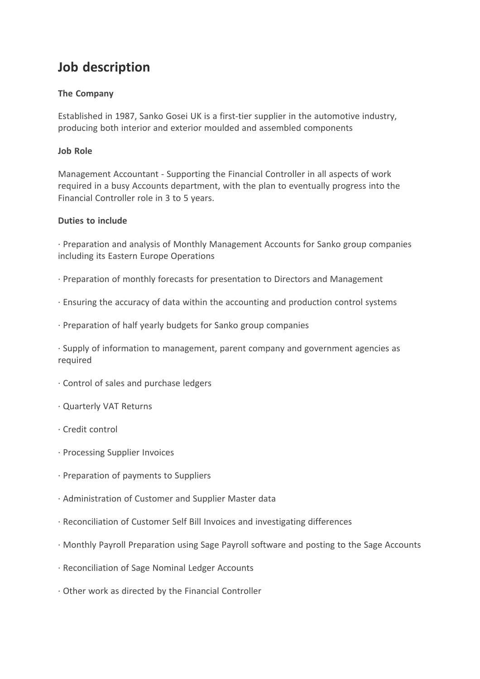# **Job description**

## **The Company**

Established in 1987, Sanko Gosei UK is a first-tier supplier in the automotive industry, producing both interior and exterior moulded and assembled components

### **Job Role**

Management Accountant - Supporting the Financial Controller in all aspects of work required in a busy Accounts department, with the plan to eventually progress into the Financial Controller role in 3 to 5 years.

#### **Duties to include**

· Preparation and analysis of Monthly Management Accounts for Sanko group companies including its Eastern Europe Operations

- · Preparation of monthly forecasts for presentation to Directors and Management
- · Ensuring the accuracy of data within the accounting and production control systems
- · Preparation of half yearly budgets for Sanko group companies

· Supply of information to management, parent company and government agencies as required

- · Control of sales and purchase ledgers
- · Quarterly VAT Returns
- · Credit control
- · Processing Supplier Invoices
- · Preparation of payments to Suppliers
- · Administration of Customer and Supplier Master data
- · Reconciliation of Customer Self Bill Invoices and investigating differences
- · Monthly Payroll Preparation using Sage Payroll software and posting to the Sage Accounts
- · Reconciliation of Sage Nominal Ledger Accounts
- · Other work as directed by the Financial Controller